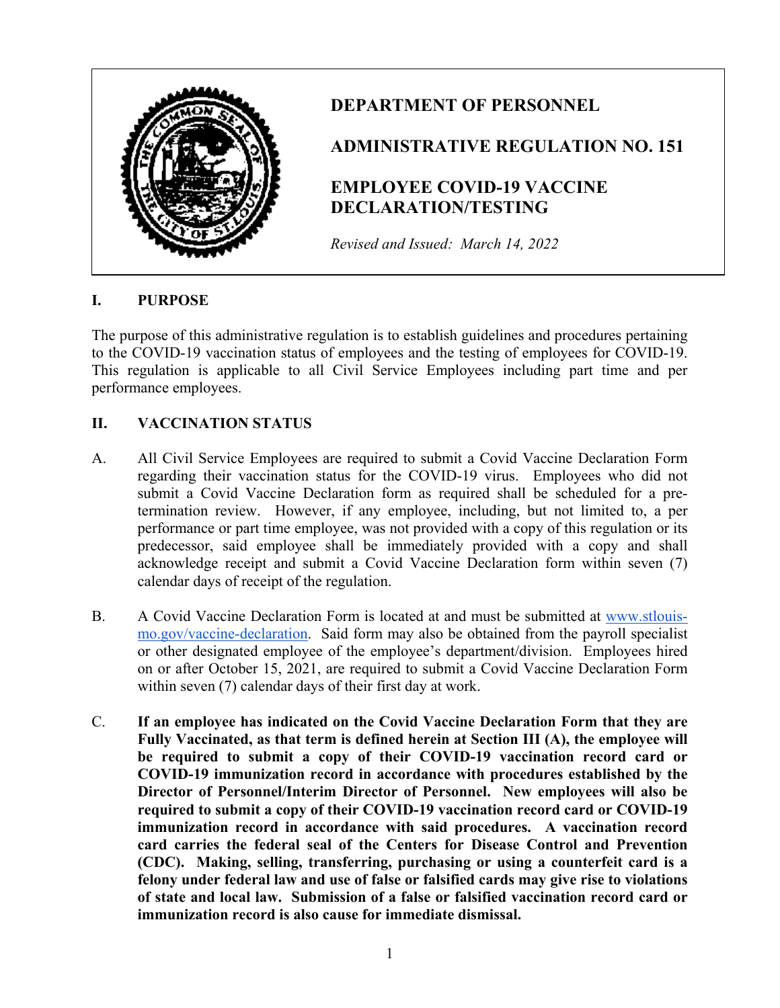

# **DEPARTMENT OF PERSONNEL**

## **ADMINISTRATIVE REGULATION NO. 151**

# **EMPLOYEE COVID-19 VACCINE DECLARATION/TESTING**

*Revised and Issued: March 14, 2022*

#### **I. PURPOSE**

The purpose of this administrative regulation is to establish guidelines and procedures pertaining to the COVID-19 vaccination status of employees and the testing of employees for COVID-19. This regulation is applicable to all Civil Service Employees including part time and per performance employees.

## **II. VACCINATION STATUS**

- A. All Civil Service Employees are required to submit a Covid Vaccine Declaration Form regarding their vaccination status for the COVID-19 virus. Employees who did not submit a Covid Vaccine Declaration form as required shall be scheduled for a pretermination review. However, if any employee, including, but not limited to, a per performance or part time employee, was not provided with a copy of this regulation or its predecessor, said employee shall be immediately provided with a copy and shall acknowledge receipt and submit a Covid Vaccine Declaration form within seven (7) calendar days of receipt of the regulation.
- B. A Covid Vaccine Declaration Form is located at and must be submitted at [www.stlouis](http://www.stlouis-mo.gov/vaccine-declaration)[mo.gov/vaccine-declaration.](http://www.stlouis-mo.gov/vaccine-declaration) Said form may also be obtained from the payroll specialist or other designated employee of the employee's department/division. Employees hired on or after October 15, 2021, are required to submit a Covid Vaccine Declaration Form within seven (7) calendar days of their first day at work.
- C. **If an employee has indicated on the Covid Vaccine Declaration Form that they are Fully Vaccinated, as that term is defined herein at Section III (A), the employee will be required to submit a copy of their COVID-19 vaccination record card or COVID-19 immunization record in accordance with procedures established by the Director of Personnel/Interim Director of Personnel. New employees will also be required to submit a copy of their COVID-19 vaccination record card or COVID-19 immunization record in accordance with said procedures. A vaccination record card carries the federal seal of the Centers for Disease Control and Prevention (CDC). Making, selling, transferring, purchasing or using a counterfeit card is a felony under federal law and use of false or falsified cards may give rise to violations of state and local law. Submission of a false or falsified vaccination record card or immunization record is also cause for immediate dismissal.**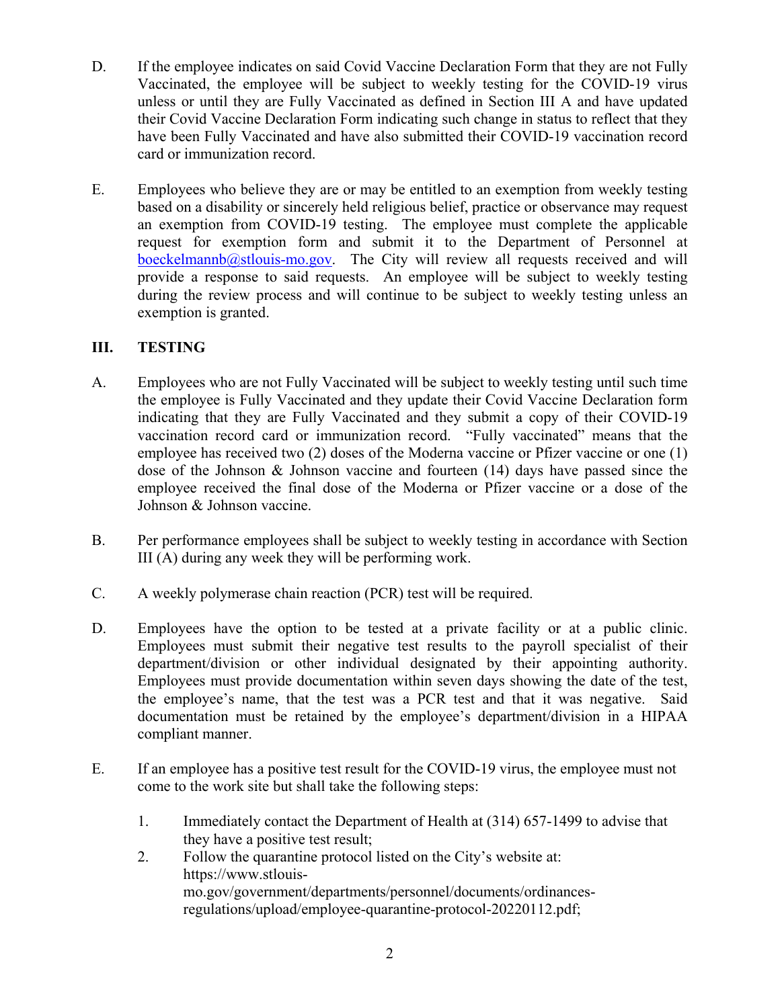- D. If the employee indicates on said Covid Vaccine Declaration Form that they are not Fully Vaccinated, the employee will be subject to weekly testing for the COVID-19 virus unless or until they are Fully Vaccinated as defined in Section III A and have updated their Covid Vaccine Declaration Form indicating such change in status to reflect that they have been Fully Vaccinated and have also submitted their COVID-19 vaccination record card or immunization record.
- E. Employees who believe they are or may be entitled to an exemption from weekly testing based on a disability or sincerely held religious belief, practice or observance may request an exemption from COVID-19 testing. The employee must complete the applicable request for exemption form and submit it to the Department of Personnel at  $boeckelmannb@stlouis-mo.gov$ . The City will review all requests received and will provide a response to said requests. An employee will be subject to weekly testing during the review process and will continue to be subject to weekly testing unless an exemption is granted.

## **III. TESTING**

- A. Employees who are not Fully Vaccinated will be subject to weekly testing until such time the employee is Fully Vaccinated and they update their Covid Vaccine Declaration form indicating that they are Fully Vaccinated and they submit a copy of their COVID-19 vaccination record card or immunization record. "Fully vaccinated" means that the employee has received two (2) doses of the Moderna vaccine or Pfizer vaccine or one (1) dose of the Johnson & Johnson vaccine and fourteen (14) days have passed since the employee received the final dose of the Moderna or Pfizer vaccine or a dose of the Johnson & Johnson vaccine.
- B. Per performance employees shall be subject to weekly testing in accordance with Section III (A) during any week they will be performing work.
- C. A weekly polymerase chain reaction (PCR) test will be required.
- D. Employees have the option to be tested at a private facility or at a public clinic. Employees must submit their negative test results to the payroll specialist of their department/division or other individual designated by their appointing authority. Employees must provide documentation within seven days showing the date of the test, the employee's name, that the test was a PCR test and that it was negative. Said documentation must be retained by the employee's department/division in a HIPAA compliant manner.
- E. If an employee has a positive test result for the COVID-19 virus, the employee must not come to the work site but shall take the following steps:
	- 1. Immediately contact the Department of Health at (314) 657-1499 to advise that they have a positive test result;
	- 2. Follow the quarantine protocol listed on the City's website at: https://www.stlouismo.gov/government/departments/personnel/documents/ordinancesregulations/upload/employee-quarantine-protocol-20220112.pdf;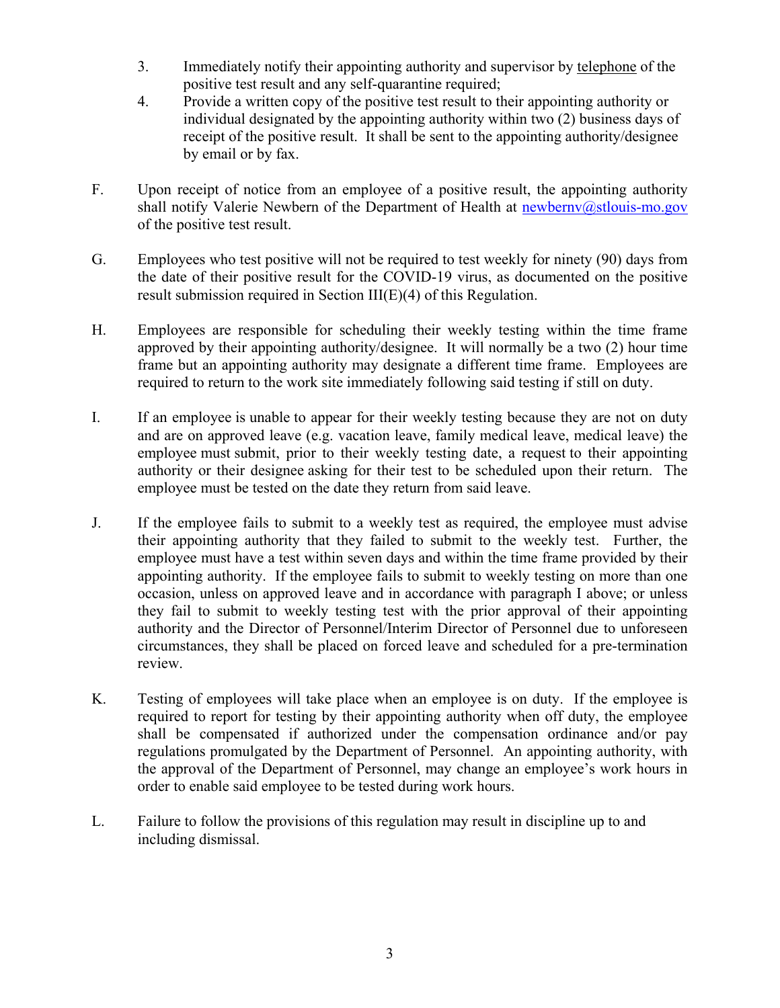- 3. Immediately notify their appointing authority and supervisor by telephone of the positive test result and any self-quarantine required;
- 4. Provide a written copy of the positive test result to their appointing authority or individual designated by the appointing authority within two (2) business days of receipt of the positive result. It shall be sent to the appointing authority/designee by email or by fax.
- F. Upon receipt of notice from an employee of a positive result, the appointing authority shall notify Valerie Newbern of the Department of Health at [newbernv@stlouis-mo.gov](mailto:newbernv@stlouis-mo.gov) of the positive test result.
- G. Employees who test positive will not be required to test weekly for ninety (90) days from the date of their positive result for the COVID-19 virus, as documented on the positive result submission required in Section III(E)(4) of this Regulation.
- H. Employees are responsible for scheduling their weekly testing within the time frame approved by their appointing authority/designee. It will normally be a two (2) hour time frame but an appointing authority may designate a different time frame. Employees are required to return to the work site immediately following said testing if still on duty.
- I. If an employee is unable to appear for their weekly testing because they are not on duty and are on approved leave (e.g. vacation leave, family medical leave, medical leave) the employee must submit, prior to their weekly testing date, a request to their appointing authority or their designee asking for their test to be scheduled upon their return. The employee must be tested on the date they return from said leave.
- J. If the employee fails to submit to a weekly test as required, the employee must advise their appointing authority that they failed to submit to the weekly test. Further, the employee must have a test within seven days and within the time frame provided by their appointing authority. If the employee fails to submit to weekly testing on more than one occasion, unless on approved leave and in accordance with paragraph I above; or unless they fail to submit to weekly testing test with the prior approval of their appointing authority and the Director of Personnel/Interim Director of Personnel due to unforeseen circumstances, they shall be placed on forced leave and scheduled for a pre-termination review.
- K. Testing of employees will take place when an employee is on duty. If the employee is required to report for testing by their appointing authority when off duty, the employee shall be compensated if authorized under the compensation ordinance and/or pay regulations promulgated by the Department of Personnel. An appointing authority, with the approval of the Department of Personnel, may change an employee's work hours in order to enable said employee to be tested during work hours.
- L. Failure to follow the provisions of this regulation may result in discipline up to and including dismissal.